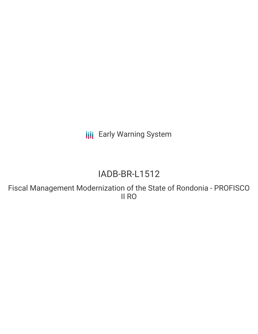**III** Early Warning System

# IADB-BR-L1512

Fiscal Management Modernization of the State of Rondonia - PROFISCO II RO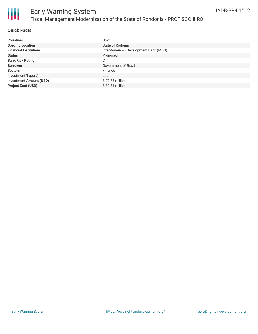

# Early Warning System Fiscal Management Modernization of the State of Rondonia - PROFISCO II RO

### **Quick Facts**

| <b>Countries</b>               | <b>Brazil</b>                          |
|--------------------------------|----------------------------------------|
| <b>Specific Location</b>       | State of Rodonia                       |
| <b>Financial Institutions</b>  | Inter-American Development Bank (IADB) |
| <b>Status</b>                  | Proposed                               |
| <b>Bank Risk Rating</b>        | C                                      |
| <b>Borrower</b>                | Government of Brazil                   |
| <b>Sectors</b>                 | Finance                                |
| <b>Investment Type(s)</b>      | Loan                                   |
| <b>Investment Amount (USD)</b> | $$27.73$ million                       |
| <b>Project Cost (USD)</b>      | \$30.81 million                        |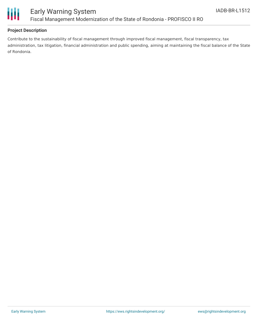

### **Project Description**

Contribute to the sustainability of fiscal management through improved fiscal management, fiscal transparency, tax administration, tax litigation, financial administration and public spending, aiming at maintaining the fiscal balance of the State of Rondonia.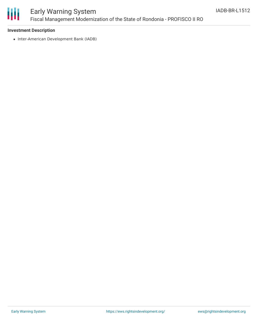

# Early Warning System Fiscal Management Modernization of the State of Rondonia - PROFISCO II RO

#### **Investment Description**

• Inter-American Development Bank (IADB)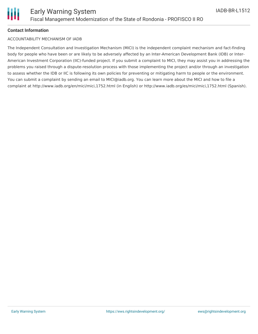

#### **Contact Information**

#### ACCOUNTABILITY MECHANISM OF IADB

The Independent Consultation and Investigation Mechanism (MICI) is the independent complaint mechanism and fact-finding body for people who have been or are likely to be adversely affected by an Inter-American Development Bank (IDB) or Inter-American Investment Corporation (IIC)-funded project. If you submit a complaint to MICI, they may assist you in addressing the problems you raised through a dispute-resolution process with those implementing the project and/or through an investigation to assess whether the IDB or IIC is following its own policies for preventing or mitigating harm to people or the environment. You can submit a complaint by sending an email to MICI@iadb.org. You can learn more about the MICI and how to file a complaint at http://www.iadb.org/en/mici/mici,1752.html (in English) or http://www.iadb.org/es/mici/mici,1752.html (Spanish).